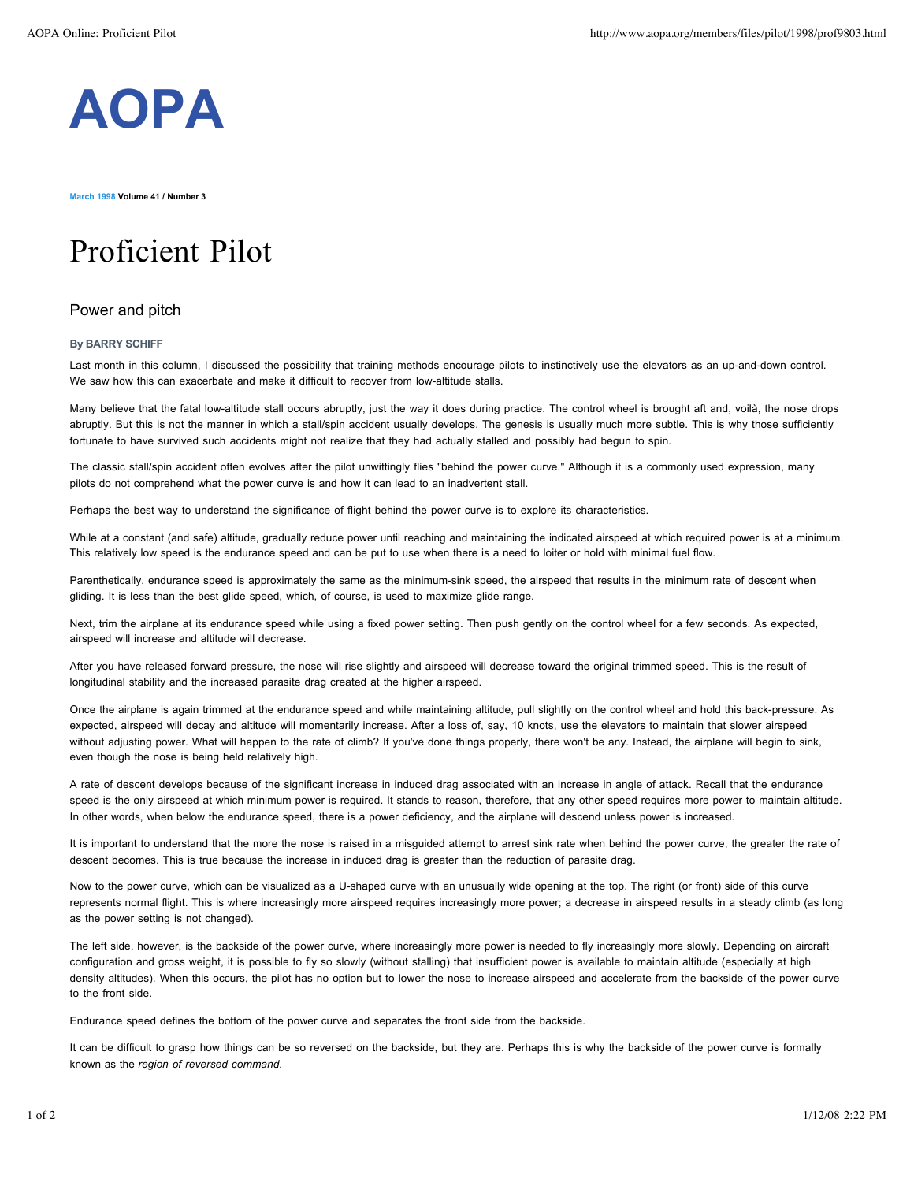

**March 1998 Volume 41 / Number 3**

## Proficient Pilot

## Power and pitch

## **By BARRY SCHIFF**

Last month in this column, I discussed the possibility that training methods encourage pilots to instinctively use the elevators as an up-and-down control. We saw how this can exacerbate and make it difficult to recover from low-altitude stalls.

Many believe that the fatal low-altitude stall occurs abruptly, just the way it does during practice. The control wheel is brought aft and, voilà, the nose drops abruptly. But this is not the manner in which a stall/spin accident usually develops. The genesis is usually much more subtle. This is why those sufficiently fortunate to have survived such accidents might not realize that they had actually stalled and possibly had begun to spin.

The classic stall/spin accident often evolves after the pilot unwittingly flies "behind the power curve." Although it is a commonly used expression, many pilots do not comprehend what the power curve is and how it can lead to an inadvertent stall.

Perhaps the best way to understand the significance of flight behind the power curve is to explore its characteristics.

While at a constant (and safe) altitude, gradually reduce power until reaching and maintaining the indicated airspeed at which required power is at a minimum. This relatively low speed is the endurance speed and can be put to use when there is a need to loiter or hold with minimal fuel flow.

Parenthetically, endurance speed is approximately the same as the minimum-sink speed, the airspeed that results in the minimum rate of descent when gliding. It is less than the best glide speed, which, of course, is used to maximize glide range.

Next, trim the airplane at its endurance speed while using a fixed power setting. Then push gently on the control wheel for a few seconds. As expected, airspeed will increase and altitude will decrease.

After you have released forward pressure, the nose will rise slightly and airspeed will decrease toward the original trimmed speed. This is the result of longitudinal stability and the increased parasite drag created at the higher airspeed.

Once the airplane is again trimmed at the endurance speed and while maintaining altitude, pull slightly on the control wheel and hold this back-pressure. As expected, airspeed will decay and altitude will momentarily increase. After a loss of, say, 10 knots, use the elevators to maintain that slower airspeed without adjusting power. What will happen to the rate of climb? If you've done things properly, there won't be any. Instead, the airplane will begin to sink, even though the nose is being held relatively high.

A rate of descent develops because of the significant increase in induced drag associated with an increase in angle of attack. Recall that the endurance speed is the only airspeed at which minimum power is required. It stands to reason, therefore, that any other speed requires more power to maintain altitude. In other words, when below the endurance speed, there is a power deficiency, and the airplane will descend unless power is increased.

It is important to understand that the more the nose is raised in a misguided attempt to arrest sink rate when behind the power curve, the greater the rate of descent becomes. This is true because the increase in induced drag is greater than the reduction of parasite drag.

Now to the power curve, which can be visualized as a U-shaped curve with an unusually wide opening at the top. The right (or front) side of this curve represents normal flight. This is where increasingly more airspeed requires increasingly more power; a decrease in airspeed results in a steady climb (as long as the power setting is not changed).

The left side, however, is the backside of the power curve, where increasingly more power is needed to fly increasingly more slowly. Depending on aircraft configuration and gross weight, it is possible to fly so slowly (without stalling) that insufficient power is available to maintain altitude (especially at high density altitudes). When this occurs, the pilot has no option but to lower the nose to increase airspeed and accelerate from the backside of the power curve to the front side.

Endurance speed defines the bottom of the power curve and separates the front side from the backside.

It can be difficult to grasp how things can be so reversed on the backside, but they are. Perhaps this is why the backside of the power curve is formally known as the *region of reversed command.*